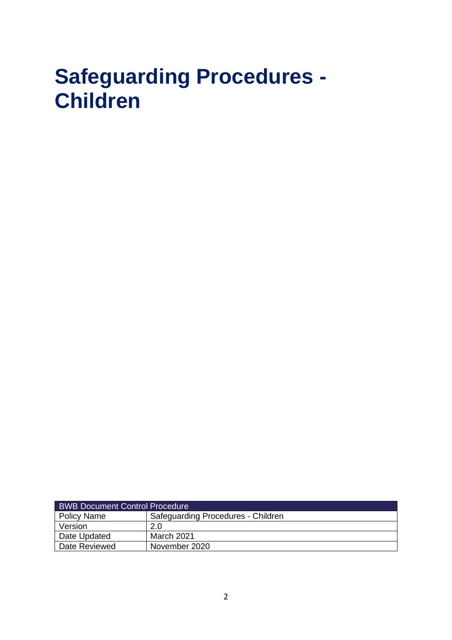# **Safeguarding Procedures - Children**

| <b>BWB Document Control Procedure</b> |                                    |  |  |
|---------------------------------------|------------------------------------|--|--|
| Policy Name                           | Safeguarding Procedures - Children |  |  |
| Version                               | 2.0                                |  |  |
| Date Updated                          | March 2021                         |  |  |
| Date Reviewed                         | November 2020                      |  |  |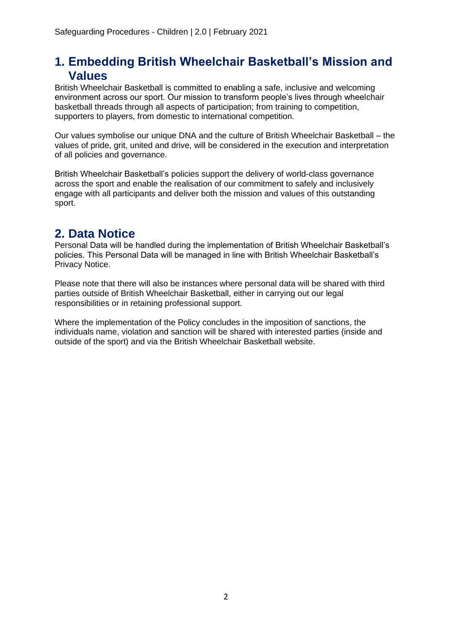### **1. Embedding British Wheelchair Basketball's Mission and Values**

British Wheelchair Basketball is committed to enabling a safe, inclusive and welcoming environment across our sport. Our mission to transform people's lives through wheelchair basketball threads through all aspects of participation; from training to competition, supporters to players, from domestic to international competition.

Our values symbolise our unique DNA and the culture of British Wheelchair Basketball – the values of pride, grit, united and drive, will be considered in the execution and interpretation of all policies and governance.

British Wheelchair Basketball's policies support the delivery of world-class governance across the sport and enable the realisation of our commitment to safely and inclusively engage with all participants and deliver both the mission and values of this outstanding sport.

### **2. Data Notice**

Personal Data will be handled during the implementation of British Wheelchair Basketball's policies. This Personal Data will be managed in line with British Wheelchair Basketball's Privacy Notice.

Please note that there will also be instances where personal data will be shared with third parties outside of British Wheelchair Basketball, either in carrying out our legal responsibilities or in retaining professional support.

Where the implementation of the Policy concludes in the imposition of sanctions, the individuals name, violation and sanction will be shared with interested parties (inside and outside of the sport) and via the British Wheelchair Basketball website.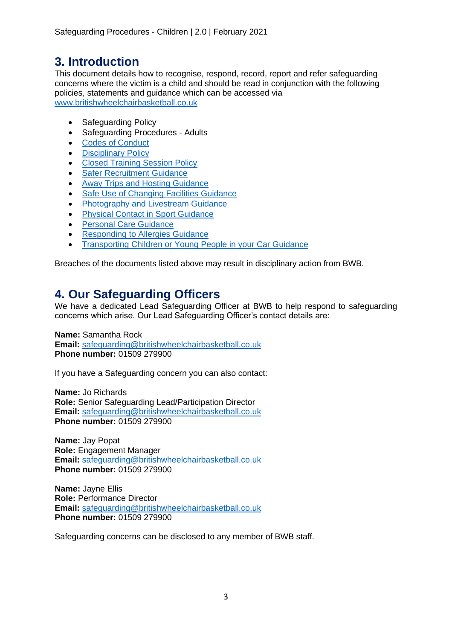### **3. Introduction**

This document details how to recognise, respond, record, report and refer safeguarding concerns where the victim is a child and should be read in conjunction with the following policies, statements and guidance which can be accessed via [www.britishwheelchairbasketball.co.uk](http://www.britishwheelchairbasketball.co.uk/)

- Safeguarding Policy
- Safeguarding Procedures Adults
- [Codes of Conduct](https://britishwheelchairbasketball.co.uk/mdocs-posts/codes-of-conduct/)
- [Disciplinary Policy](https://britishwheelchairbasketball.co.uk/mdocs-posts/disciplinary-policy-2/)
- [Closed Training Session Policy](https://britishwheelchairbasketball.co.uk/mdocs-posts/closed-training-session-policy/)
- [Safer Recruitment Guidance](https://britishwheelchairbasketball.co.uk/mdocs-posts/safer-recruitment/)
- [Away Trips and Hosting Guidance](https://britishwheelchairbasketball.co.uk/mdocs-posts/away-trips-and-hosting/)
- [Safe Use of Changing Facilities Guidance](https://britishwheelchairbasketball.co.uk/mdocs-posts/safe-use-of-changing-facilities-guidance/)
- [Photography and Livestream Guidance](https://britishwheelchairbasketball.co.uk/mdocs-posts/photography-and-live-streaming/)
- [Physical Contact in Sport Guidance](https://britishwheelchairbasketball.co.uk/mdocs-posts/physical-contact-in-sport/)
- **[Personal Care Guidance](https://britishwheelchairbasketball.co.uk/mdocs-posts/personal-care/)**
- [Responding to Allergies Guidance](https://britishwheelchairbasketball.co.uk/mdocs-posts/responding-to-allergies/)
- [Transporting Children or Young People in your Car Guidance](https://britishwheelchairbasketball.co.uk/mdocs-posts/transporting-children-or-young-people-in-your-car/)

Breaches of the documents listed above may result in disciplinary action from BWB.

### **4. Our Safeguarding Officers**

We have a dedicated Lead Safeguarding Officer at BWB to help respond to safeguarding concerns which arise. Our Lead Safeguarding Officer's contact details are:

**Name:** Samantha Rock

**Email:** [safeguarding@britishwheelchairbasketball.co.uk](mailto:safeguarding@britishwheelchairbasketball.co.uk) **Phone number:** 01509 279900

If you have a Safeguarding concern you can also contact:

**Name:** Jo Richards **Role:** Senior Safeguarding Lead/Participation Director **Email:** [safeguarding@britishwheelchairbasketball.co.uk](mailto:safeguarding@britishwheelchairbasketball.co.uk) **Phone number:** 01509 279900

**Name:** Jay Popat **Role:** Engagement Manager **Email:** [safeguarding@britishwheelchairbasketball.co.uk](mailto:safeguarding@britishwheelchairbasketball.co.uk) **Phone number:** 01509 279900

**Name:** Jayne Ellis **Role:** Performance Director **Email:** [safeguarding@britishwheelchairbasketball.co.uk](mailto:safeguarding@britishwheelchairbasketball.co.uk) **Phone number:** 01509 279900

Safeguarding concerns can be disclosed to any member of BWB staff.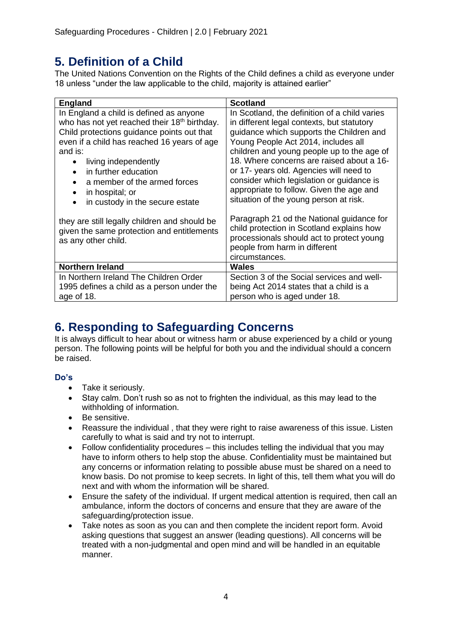## **5. Definition of a Child**

The United Nations Convention on the Rights of the Child defines a child as everyone under 18 unless "under the law applicable to the child, majority is attained earlier"

| <b>England</b>                                                                                                                                                                                                                                                                                                                                                 | <b>Scotland</b>                                                                                                                                                                                                                                                                                                                                                                                                                                         |  |
|----------------------------------------------------------------------------------------------------------------------------------------------------------------------------------------------------------------------------------------------------------------------------------------------------------------------------------------------------------------|---------------------------------------------------------------------------------------------------------------------------------------------------------------------------------------------------------------------------------------------------------------------------------------------------------------------------------------------------------------------------------------------------------------------------------------------------------|--|
| In England a child is defined as anyone<br>who has not yet reached their 18 <sup>th</sup> birthday.<br>Child protections guidance points out that<br>even if a child has reached 16 years of age<br>and is:<br>living independently<br>in further education<br>a member of the armed forces<br>in hospital; or<br>in custody in the secure estate<br>$\bullet$ | In Scotland, the definition of a child varies<br>in different legal contexts, but statutory<br>guidance which supports the Children and<br>Young People Act 2014, includes all<br>children and young people up to the age of<br>18. Where concerns are raised about a 16-<br>or 17- years old. Agencies will need to<br>consider which legislation or guidance is<br>appropriate to follow. Given the age and<br>situation of the young person at risk. |  |
| they are still legally children and should be<br>given the same protection and entitlements<br>as any other child.                                                                                                                                                                                                                                             | Paragraph 21 od the National guidance for<br>child protection in Scotland explains how<br>processionals should act to protect young<br>people from harm in different<br>circumstances.                                                                                                                                                                                                                                                                  |  |
| <b>Northern Ireland</b>                                                                                                                                                                                                                                                                                                                                        | Wales                                                                                                                                                                                                                                                                                                                                                                                                                                                   |  |
| In Northern Ireland The Children Order<br>1995 defines a child as a person under the<br>age of 18.                                                                                                                                                                                                                                                             | Section 3 of the Social services and well-<br>being Act 2014 states that a child is a<br>person who is aged under 18.                                                                                                                                                                                                                                                                                                                                   |  |

# **6. Responding to Safeguarding Concerns**

It is always difficult to hear about or witness harm or abuse experienced by a child or young person. The following points will be helpful for both you and the individual should a concern be raised.

#### **Do's**

- Take it seriously.
- Stay calm. Don't rush so as not to frighten the individual, as this may lead to the withholding of information.
- Be sensitive.
- Reassure the individual , that they were right to raise awareness of this issue. Listen carefully to what is said and try not to interrupt.
- Follow confidentiality procedures this includes telling the individual that you may have to inform others to help stop the abuse. Confidentiality must be maintained but any concerns or information relating to possible abuse must be shared on a need to know basis. Do not promise to keep secrets. In light of this, tell them what you will do next and with whom the information will be shared.
- Ensure the safety of the individual. If urgent medical attention is required, then call an ambulance, inform the doctors of concerns and ensure that they are aware of the safeguarding/protection issue.
- Take notes as soon as you can and then complete the incident report form. Avoid asking questions that suggest an answer (leading questions). All concerns will be treated with a non-judgmental and open mind and will be handled in an equitable manner.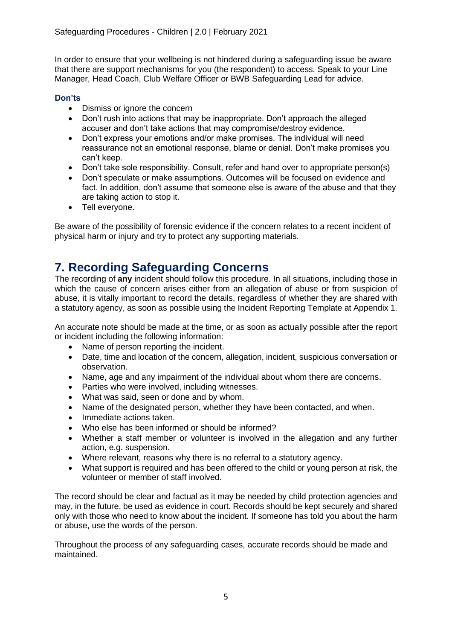In order to ensure that your wellbeing is not hindered during a safeguarding issue be aware that there are support mechanisms for you (the respondent) to access. Speak to your Line Manager, Head Coach, Club Welfare Officer or BWB Safeguarding Lead for advice.

#### **Don'ts**

- Dismiss or ignore the concern
- Don't rush into actions that may be inappropriate. Don't approach the alleged accuser and don't take actions that may compromise/destroy evidence.
- Don't express your emotions and/or make promises. The individual will need reassurance not an emotional response, blame or denial. Don't make promises you can't keep.
- Don't take sole responsibility. Consult, refer and hand over to appropriate person(s)
- Don't speculate or make assumptions. Outcomes will be focused on evidence and fact. In addition, don't assume that someone else is aware of the abuse and that they are taking action to stop it.
- Tell everyone.

Be aware of the possibility of forensic evidence if the concern relates to a recent incident of physical harm or injury and try to protect any supporting materials.

# **7. Recording Safeguarding Concerns**

The recording of **any** incident should follow this procedure. In all situations, including those in which the cause of concern arises either from an allegation of abuse or from suspicion of abuse, it is vitally important to record the details, regardless of whether they are shared with a statutory agency, as soon as possible using the Incident Reporting Template at Appendix 1.

An accurate note should be made at the time, or as soon as actually possible after the report or incident including the following information:

- Name of person reporting the incident.
- Date, time and location of the concern, allegation, incident, suspicious conversation or observation.
- Name, age and any impairment of the individual about whom there are concerns.
- Parties who were involved, including witnesses.
- What was said, seen or done and by whom.
- Name of the designated person, whether they have been contacted, and when.
- Immediate actions taken.
- Who else has been informed or should be informed?
- Whether a staff member or volunteer is involved in the allegation and any further action, e.g. suspension.
- Where relevant, reasons why there is no referral to a statutory agency.
- What support is required and has been offered to the child or young person at risk, the volunteer or member of staff involved.

The record should be clear and factual as it may be needed by child protection agencies and may, in the future, be used as evidence in court. Records should be kept securely and shared only with those who need to know about the incident. If someone has told you about the harm or abuse, use the words of the person.

Throughout the process of any safeguarding cases, accurate records should be made and maintained.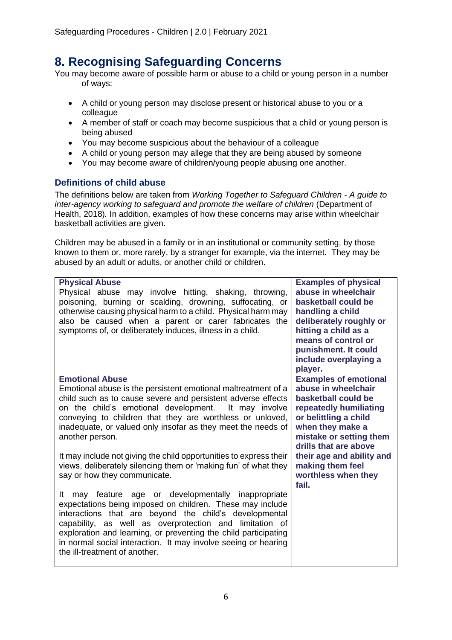### **8. Recognising Safeguarding Concerns**

You may become aware of possible harm or abuse to a child or young person in a number of ways:

- A child or young person may disclose present or historical abuse to you or a colleague
- A member of staff or coach may become suspicious that a child or young person is being abused
- You may become suspicious about the behaviour of a colleague
- A child or young person may allege that they are being abused by someone
- You may become aware of children/young people abusing one another.

#### **Definitions of child abuse**

The definitions below are taken from *Working Together to Safeguard Children - A guide to inter-agency working to safeguard and promote the welfare of children (Department of* Health, 2018)*.* In addition, examples of how these concerns may arise within wheelchair basketball activities are given.

Children may be abused in a family or in an institutional or community setting, by those known to them or, more rarely, by a stranger for example, via the internet. They may be abused by an adult or adults, or another child or children.

| <b>Physical Abuse</b><br>Physical abuse may involve hitting, shaking, throwing,<br>poisoning, burning or scalding, drowning, suffocating, or<br>otherwise causing physical harm to a child. Physical harm may<br>also be caused when a parent or carer fabricates the<br>symptoms of, or deliberately induces, illness in a child.                                                                                                                                                                                                          | <b>Examples of physical</b><br>abuse in wheelchair<br>basketball could be<br>handling a child<br>deliberately roughly or<br>hitting a child as a<br>means of control or<br>punishment. It could<br>include overplaying a<br>player.                                                    |
|---------------------------------------------------------------------------------------------------------------------------------------------------------------------------------------------------------------------------------------------------------------------------------------------------------------------------------------------------------------------------------------------------------------------------------------------------------------------------------------------------------------------------------------------|----------------------------------------------------------------------------------------------------------------------------------------------------------------------------------------------------------------------------------------------------------------------------------------|
| <b>Emotional Abuse</b><br>Emotional abuse is the persistent emotional maltreatment of a<br>child such as to cause severe and persistent adverse effects<br>on the child's emotional development.<br>It may involve<br>conveying to children that they are worthless or unloved,<br>inadequate, or valued only insofar as they meet the needs of<br>another person.<br>It may include not giving the child opportunities to express their<br>views, deliberately silencing them or 'making fun' of what they<br>say or how they communicate. | <b>Examples of emotional</b><br>abuse in wheelchair<br>basketball could be<br>repeatedly humiliating<br>or belittling a child<br>when they make a<br>mistake or setting them<br>drills that are above<br>their age and ability and<br>making them feel<br>worthless when they<br>fail. |
| age or developmentally inappropriate<br>It<br>may feature<br>expectations being imposed on children. These may include<br>interactions that are beyond the child's developmental<br>capability, as well as overprotection and limitation of<br>exploration and learning, or preventing the child participating<br>in normal social interaction. It may involve seeing or hearing<br>the ill-treatment of another.                                                                                                                           |                                                                                                                                                                                                                                                                                        |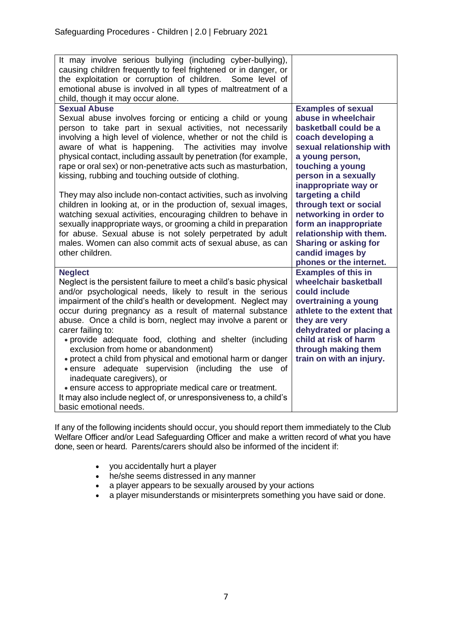| It may involve serious bullying (including cyber-bullying),<br>causing children frequently to feel frightened or in danger, or<br>the exploitation or corruption of children. Some level of<br>emotional abuse is involved in all types of maltreatment of a<br>child, though it may occur alone.                                                                                                                                                                                                                                                                                                                                                                                                                                                                                                                |                                                                                                                                                                                                                                                                                                                                                 |
|------------------------------------------------------------------------------------------------------------------------------------------------------------------------------------------------------------------------------------------------------------------------------------------------------------------------------------------------------------------------------------------------------------------------------------------------------------------------------------------------------------------------------------------------------------------------------------------------------------------------------------------------------------------------------------------------------------------------------------------------------------------------------------------------------------------|-------------------------------------------------------------------------------------------------------------------------------------------------------------------------------------------------------------------------------------------------------------------------------------------------------------------------------------------------|
| <b>Sexual Abuse</b><br>Sexual abuse involves forcing or enticing a child or young<br>person to take part in sexual activities, not necessarily<br>involving a high level of violence, whether or not the child is<br>aware of what is happening. The activities may involve<br>physical contact, including assault by penetration (for example,<br>rape or oral sex) or non-penetrative acts such as masturbation,<br>kissing, rubbing and touching outside of clothing.<br>They may also include non-contact activities, such as involving<br>children in looking at, or in the production of, sexual images,<br>watching sexual activities, encouraging children to behave in<br>sexually inappropriate ways, or grooming a child in preparation<br>for abuse. Sexual abuse is not solely perpetrated by adult | <b>Examples of sexual</b><br>abuse in wheelchair<br>basketball could be a<br>coach developing a<br>sexual relationship with<br>a young person,<br>touching a young<br>person in a sexually<br>inappropriate way or<br>targeting a child<br>through text or social<br>networking in order to<br>form an inappropriate<br>relationship with them. |
| males. Women can also commit acts of sexual abuse, as can<br>other children.                                                                                                                                                                                                                                                                                                                                                                                                                                                                                                                                                                                                                                                                                                                                     | <b>Sharing or asking for</b><br>candid images by<br>phones or the internet.                                                                                                                                                                                                                                                                     |
| <b>Neglect</b><br>Neglect is the persistent failure to meet a child's basic physical<br>and/or psychological needs, likely to result in the serious<br>impairment of the child's health or development. Neglect may<br>occur during pregnancy as a result of maternal substance<br>abuse. Once a child is born, neglect may involve a parent or<br>carer failing to:<br>· provide adequate food, clothing and shelter (including<br>exclusion from home or abandonment)<br>• protect a child from physical and emotional harm or danger<br>· ensure adequate supervision (including<br>the use of<br>inadequate caregivers), or<br>• ensure access to appropriate medical care or treatment.<br>It may also include neglect of, or unresponsiveness to, a child's<br>basic emotional needs.                      | <b>Examples of this in</b><br>wheelchair basketball<br>could include<br>overtraining a young<br>athlete to the extent that<br>they are very<br>dehydrated or placing a<br>child at risk of harm<br>through making them<br>train on with an injury.                                                                                              |

If any of the following incidents should occur, you should report them immediately to the Club Welfare Officer and/or Lead Safeguarding Officer and make a written record of what you have done, seen or heard. Parents/carers should also be informed of the incident if:

- you accidentally hurt a player
- he/she seems distressed in any manner
- a player appears to be sexually aroused by your actions
- a player misunderstands or misinterprets something you have said or done.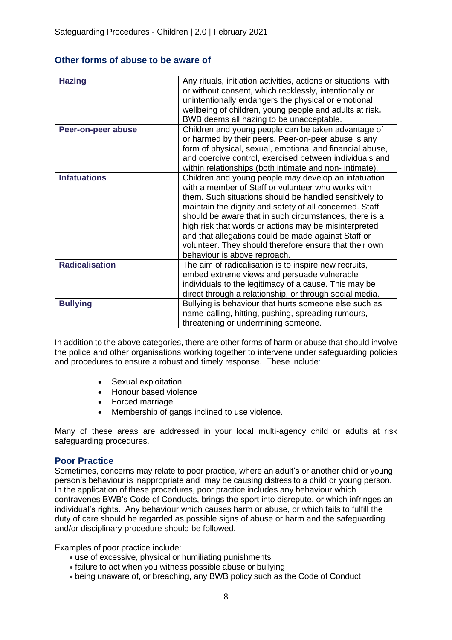#### **Other forms of abuse to be aware of**

| <b>Hazing</b>         | Any rituals, initiation activities, actions or situations, with<br>or without consent, which recklessly, intentionally or<br>unintentionally endangers the physical or emotional<br>wellbeing of children, young people and adults at risk.<br>BWB deems all hazing to be unacceptable.                                                                                                                                                                                                             |
|-----------------------|-----------------------------------------------------------------------------------------------------------------------------------------------------------------------------------------------------------------------------------------------------------------------------------------------------------------------------------------------------------------------------------------------------------------------------------------------------------------------------------------------------|
| Peer-on-peer abuse    | Children and young people can be taken advantage of<br>or harmed by their peers. Peer-on-peer abuse is any<br>form of physical, sexual, emotional and financial abuse,<br>and coercive control, exercised between individuals and<br>within relationships (both intimate and non- intimate).                                                                                                                                                                                                        |
| <b>Infatuations</b>   | Children and young people may develop an infatuation<br>with a member of Staff or volunteer who works with<br>them. Such situations should be handled sensitively to<br>maintain the dignity and safety of all concerned. Staff<br>should be aware that in such circumstances, there is a<br>high risk that words or actions may be misinterpreted<br>and that allegations could be made against Staff or<br>volunteer. They should therefore ensure that their own<br>behaviour is above reproach. |
| <b>Radicalisation</b> | The aim of radicalisation is to inspire new recruits,<br>embed extreme views and persuade vulnerable<br>individuals to the legitimacy of a cause. This may be<br>direct through a relationship, or through social media.                                                                                                                                                                                                                                                                            |
| <b>Bullying</b>       | Bullying is behaviour that hurts someone else such as<br>name-calling, hitting, pushing, spreading rumours,<br>threatening or undermining someone.                                                                                                                                                                                                                                                                                                                                                  |

In addition to the above categories, there are other forms of harm or abuse that should involve the police and other organisations working together to intervene under safeguarding policies and procedures to ensure a robust and timely response. These include:

- Sexual exploitation
- Honour based violence
- Forced marriage
- Membership of gangs inclined to use violence.

Many of these areas are addressed in your local multi-agency child or adults at risk safeguarding procedures.

#### **Poor Practice**

Sometimes, concerns may relate to poor practice, where an adult's or another child or young person's behaviour is inappropriate and may be causing distress to a child or young person. In the application of these procedures, poor practice includes any behaviour which contravenes BWB's Code of Conducts, brings the sport into disrepute, or which infringes an individual's rights. Any behaviour which causes harm or abuse, or which fails to fulfill the duty of care should be regarded as possible signs of abuse or harm and the safeguarding and/or disciplinary procedure should be followed.

Examples of poor practice include:

- use of excessive, physical or humiliating punishments
- failure to act when you witness possible abuse or bullying
- being unaware of, or breaching, any BWB policy such as the Code of Conduct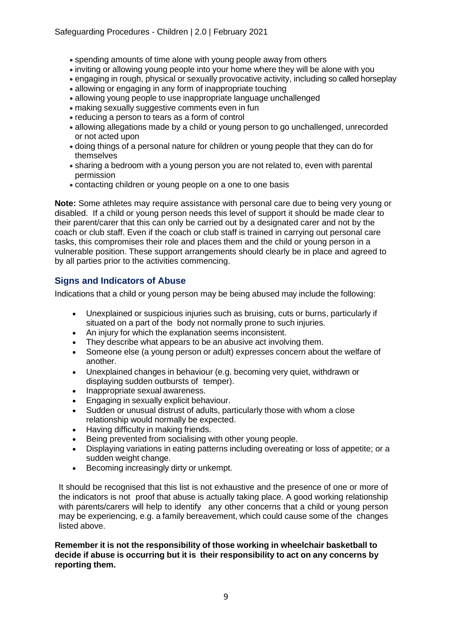- spending amounts of time alone with young people away from others
- inviting or allowing young people into your home where they will be alone with you
- engaging in rough, physical or sexually provocative activity, including so called horseplay
- allowing or engaging in any form of inappropriate touching
- allowing young people to use inappropriate language unchallenged
- making sexually suggestive comments even in fun
- reducing a person to tears as a form of control
- allowing allegations made by a child or young person to go unchallenged, unrecorded or not acted upon
- doing things of a personal nature for children or young people that they can do for themselves
- sharing a bedroom with a young person you are not related to, even with parental permission
- contacting children or young people on a one to one basis

**Note:** Some athletes may require assistance with personal care due to being very young or disabled. If a child or young person needs this level of support it should be made clear to their parent/carer that this can only be carried out by a designated carer and not by the coach or club staff. Even if the coach or club staff is trained in carrying out personal care tasks, this compromises their role and places them and the child or young person in a vulnerable position. These support arrangements should clearly be in place and agreed to by all parties prior to the activities commencing.

#### **Signs and Indicators of Abuse**

Indications that a child or young person may be being abused may include the following:

- Unexplained or suspicious injuries such as bruising, cuts or burns, particularly if situated on a part of the body not normally prone to such injuries.
- An injury for which the explanation seems inconsistent.
- They describe what appears to be an abusive act involving them.
- Someone else (a young person or adult) expresses concern about the welfare of another.
- Unexplained changes in behaviour (e.g. becoming very quiet, withdrawn or displaying sudden outbursts of temper).
- Inappropriate sexual awareness.
- Engaging in sexually explicit behaviour.
- Sudden or unusual distrust of adults, particularly those with whom a close relationship would normally be expected.
- Having difficulty in making friends.
- Being prevented from socialising with other young people.
- Displaying variations in eating patterns including overeating or loss of appetite; or a sudden weight change.
- Becoming increasingly dirty or unkempt.

It should be recognised that this list is not exhaustive and the presence of one or more of the indicators is not proof that abuse is actually taking place. A good working relationship with parents/carers will help to identify any other concerns that a child or young person may be experiencing, e.g. a family bereavement, which could cause some of the changes listed above.

**Remember it is not the responsibility of those working in wheelchair basketball to decide if abuse is occurring but it is their responsibility to act on any concerns by reporting them.**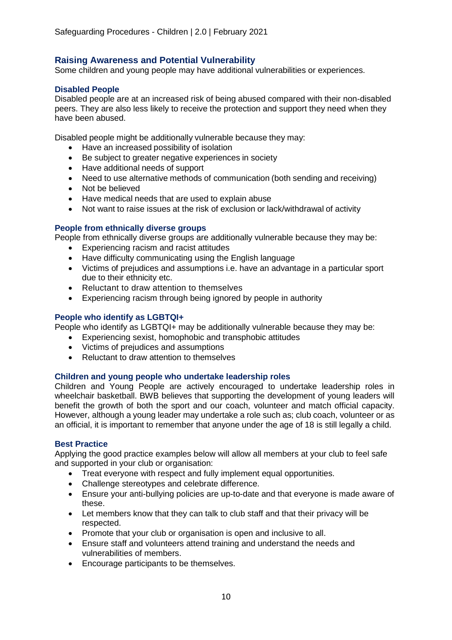#### **Raising Awareness and Potential Vulnerability**

Some children and young people may have additional vulnerabilities or experiences.

#### **Disabled People**

Disabled people are at an increased risk of being abused compared with their non-disabled peers. They are also less likely to receive the protection and support they need when they have been abused.

Disabled people might be additionally vulnerable because they may:

- Have an increased possibility of isolation
- Be subject to greater negative experiences in society
- Have additional needs of support
- Need to use alternative methods of communication (both sending and receiving)
- Not be believed
- Have medical needs that are used to explain abuse
- Not want to raise issues at the risk of exclusion or lack/withdrawal of activity

#### **People from ethnically diverse groups**

People from ethnically diverse groups are additionally vulnerable because they may be:

- Experiencing racism and racist attitudes
- Have difficulty communicating using the English language
- Victims of prejudices and assumptions i.e. have an advantage in a particular sport due to their ethnicity etc.
- Reluctant to draw attention to themselves
- Experiencing racism through being ignored by people in authority

#### **People who identify as LGBTQI+**

People who identify as LGBTQI+ may be additionally vulnerable because they may be:

- Experiencing sexist, homophobic and transphobic attitudes
- Victims of prejudices and assumptions
- Reluctant to draw attention to themselves

#### **Children and young people who undertake leadership roles**

Children and Young People are actively encouraged to undertake leadership roles in wheelchair basketball. BWB believes that supporting the development of young leaders will benefit the growth of both the sport and our coach, volunteer and match official capacity. However, although a young leader may undertake a role such as; club coach, volunteer or as an official, it is important to remember that anyone under the age of 18 is still legally a child.

#### **Best Practice**

Applying the good practice examples below will allow all members at your club to feel safe and supported in your club or organisation:

- Treat everyone with respect and fully implement equal opportunities.
- Challenge stereotypes and celebrate difference.
- Ensure your anti-bullying policies are up-to-date and that everyone is made aware of these.
- Let members know that they can talk to club staff and that their privacy will be respected.
- Promote that your club or organisation is open and inclusive to all.
- Ensure staff and volunteers attend training and understand the needs and vulnerabilities of members.
- Encourage participants to be themselves.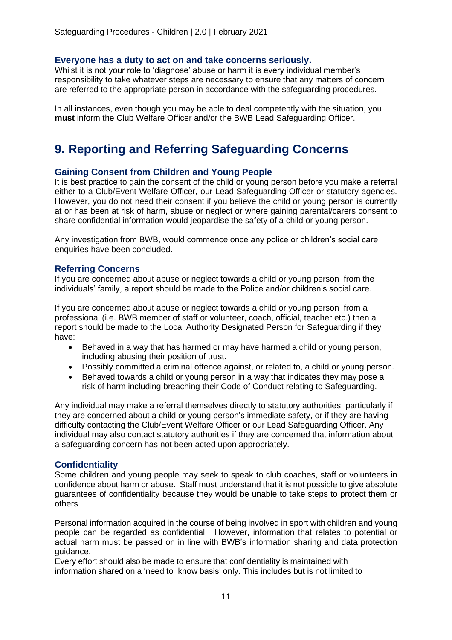#### **Everyone has a duty to act on and take concerns seriously.**

Whilst it is not your role to 'diagnose' abuse or harm it is every individual member's responsibility to take whatever steps are necessary to ensure that any matters of concern are referred to the appropriate person in accordance with the safeguarding procedures.

In all instances, even though you may be able to deal competently with the situation, you **must** inform the Club Welfare Officer and/or the BWB Lead Safeguarding Officer.

## **9. Reporting and Referring Safeguarding Concerns**

#### **Gaining Consent from Children and Young People**

It is best practice to gain the consent of the child or young person before you make a referral either to a Club/Event Welfare Officer, our Lead Safeguarding Officer or statutory agencies. However, you do not need their consent if you believe the child or young person is currently at or has been at risk of harm, abuse or neglect or where gaining parental/carers consent to share confidential information would jeopardise the safety of a child or young person.

Any investigation from BWB, would commence once any police or children's social care enquiries have been concluded.

#### **Referring Concerns**

If you are concerned about abuse or neglect towards a child or young person from the individuals' family, a report should be made to the Police and/or children's social care.

If you are concerned about abuse or neglect towards a child or young person from a professional (i.e. BWB member of staff or volunteer, coach, official, teacher etc.) then a report should be made to the Local Authority Designated Person for Safeguarding if they have:

- Behaved in a way that has harmed or may have harmed a child or young person, including abusing their position of trust.
- Possibly committed a criminal offence against, or related to, a child or young person.
- Behaved towards a child or young person in a way that indicates they may pose a risk of harm including breaching their Code of Conduct relating to Safeguarding.

Any individual may make a referral themselves directly to statutory authorities, particularly if they are concerned about a child or young person's immediate safety, or if they are having difficulty contacting the Club/Event Welfare Officer or our Lead Safeguarding Officer. Any individual may also contact statutory authorities if they are concerned that information about a safeguarding concern has not been acted upon appropriately.

#### **Confidentiality**

Some children and young people may seek to speak to club coaches, staff or volunteers in confidence about harm or abuse. Staff must understand that it is not possible to give absolute guarantees of confidentiality because they would be unable to take steps to protect them or others

Personal information acquired in the course of being involved in sport with children and young people can be regarded as confidential. However, information that relates to potential or actual harm must be passed on in line with BWB's information sharing and data protection guidance.

Every effort should also be made to ensure that confidentiality is maintained with information shared on a 'need to know basis' only. This includes but is not limited to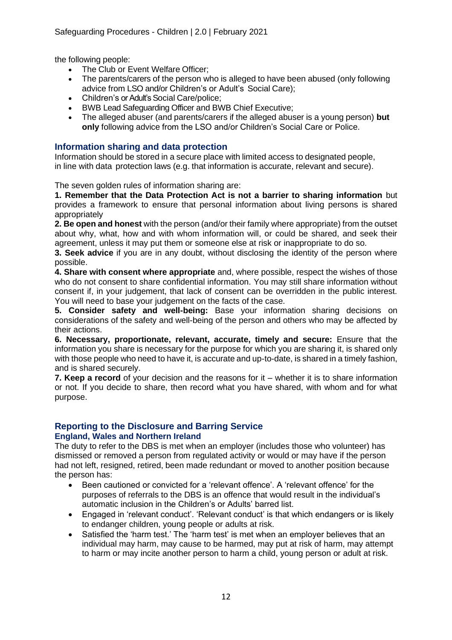the following people:

- The Club or Event Welfare Officer;
- The parents/carers of the person who is alleged to have been abused (only following advice from LSO and/or Children's or Adult's Social Care);
- Children's or Adult's Social Care/police:
- BWB Lead Safeguarding Officer and BWB Chief Executive;
- The alleged abuser (and parents/carers if the alleged abuser is a young person) **but only** following advice from the LSO and/or Children's Social Care or Police.

#### **Information sharing and data protection**

Information should be stored in a secure place with limited access to designated people, in line with data protection laws (e.g. that information is accurate, relevant and secure).

The seven golden rules of information sharing are:

**1. Remember that the Data Protection Act is not a barrier to sharing information** but provides a framework to ensure that personal information about living persons is shared appropriately

**2. Be open and honest** with the person (and/or their family where appropriate) from the outset about why, what, how and with whom information will, or could be shared, and seek their agreement, unless it may put them or someone else at risk or inappropriate to do so.

**3. Seek advice** if you are in any doubt, without disclosing the identity of the person where possible.

**4. Share with consent where appropriate** and, where possible, respect the wishes of those who do not consent to share confidential information. You may still share information without consent if, in your judgement, that lack of consent can be overridden in the public interest. You will need to base your judgement on the facts of the case.

**5. Consider safety and well-being:** Base your information sharing decisions on considerations of the safety and well-being of the person and others who may be affected by their actions.

**6. Necessary, proportionate, relevant, accurate, timely and secure:** Ensure that the information you share is necessary for the purpose for which you are sharing it, is shared only with those people who need to have it, is accurate and up-to-date, is shared in a timely fashion, and is shared securely.

**7. Keep a record** of your decision and the reasons for it – whether it is to share information or not. If you decide to share, then record what you have shared, with whom and for what purpose.

# **Reporting to the Disclosure and Barring Service**

#### **England, Wales and Northern Ireland**

The duty to refer to the DBS is met when an employer (includes those who volunteer) has dismissed or removed a person from regulated activity or would or may have if the person had not left, resigned, retired, been made redundant or moved to another position because the person has:

- Been cautioned or convicted for a 'relevant offence'. A 'relevant offence' for the purposes of referrals to the DBS is an offence that would result in the individual's automatic inclusion in the Children's or Adults' barred list.
- Engaged in 'relevant conduct'. 'Relevant conduct' is that which endangers or is likely to endanger children, young people or adults at risk.
- Satisfied the 'harm test.' The 'harm test' is met when an employer believes that an individual may harm, may cause to be harmed, may put at risk of harm, may attempt to harm or may incite another person to harm a child, young person or adult at risk.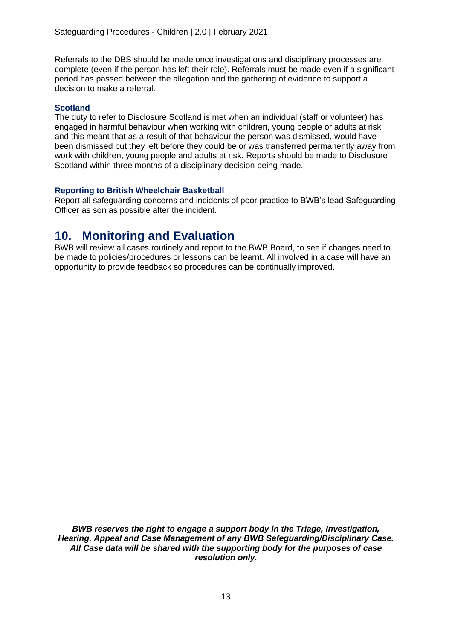Referrals to the DBS should be made once investigations and disciplinary processes are complete (even if the person has left their role). Referrals must be made even if a significant period has passed between the allegation and the gathering of evidence to support a decision to make a referral.

#### **Scotland**

The duty to refer to Disclosure Scotland is met when an individual (staff or volunteer) has engaged in harmful behaviour when working with children, young people or adults at risk and this meant that as a result of that behaviour the person was dismissed, would have been dismissed but they left before they could be or was transferred permanently away from work with children, young people and adults at risk. Reports should be made to Disclosure Scotland within three months of a disciplinary decision being made.

#### **Reporting to British Wheelchair Basketball**

Report all safeguarding concerns and incidents of poor practice to BWB's lead Safeguarding Officer as son as possible after the incident.

### **10. Monitoring and Evaluation**

BWB will review all cases routinely and report to the BWB Board, to see if changes need to be made to policies/procedures or lessons can be learnt. All involved in a case will have an opportunity to provide feedback so procedures can be continually improved.

*BWB reserves the right to engage a support body in the Triage, Investigation, Hearing, Appeal and Case Management of any BWB Safeguarding/Disciplinary Case. All Case data will be shared with the supporting body for the purposes of case resolution only.*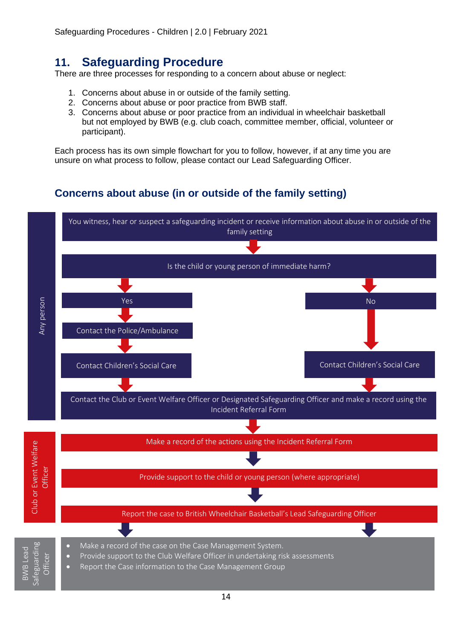### **11. Safeguarding Procedure**

There are three processes for responding to a concern about abuse or neglect:

- 1. Concerns about abuse in or outside of the family setting.
- 2. Concerns about abuse or poor practice from BWB staff.
- 3. Concerns about abuse or poor practice from an individual in wheelchair basketball but not employed by BWB (e.g. club coach, committee member, official, volunteer or participant).

Each process has its own simple flowchart for you to follow, however, if at any time you are unsure on what process to follow, please contact our Lead Safeguarding Officer.

### **Concerns about abuse (in or outside of the family setting)**

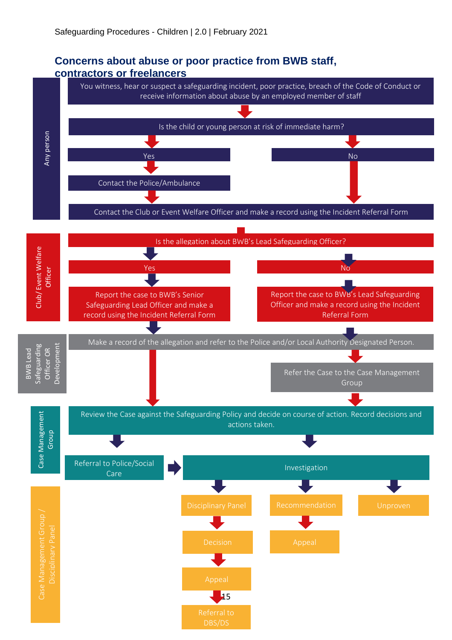### **Concerns about abuse or poor practice from BWB staff, contractors or freelancers**

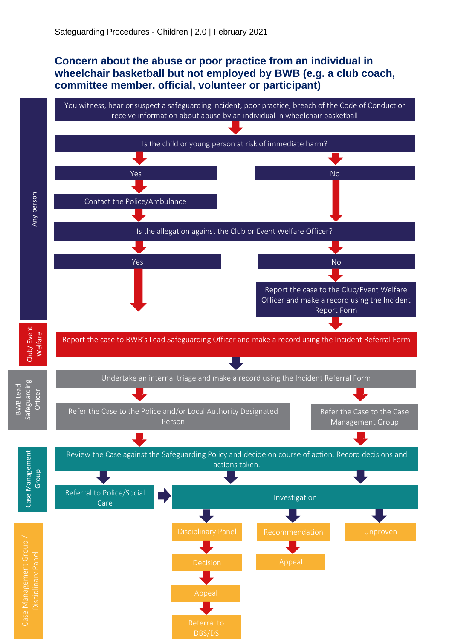### **Concern about the abuse or poor practice from an individual in wheelchair basketball but not employed by BWB (e.g. a club coach, committee member, official, volunteer or participant)**

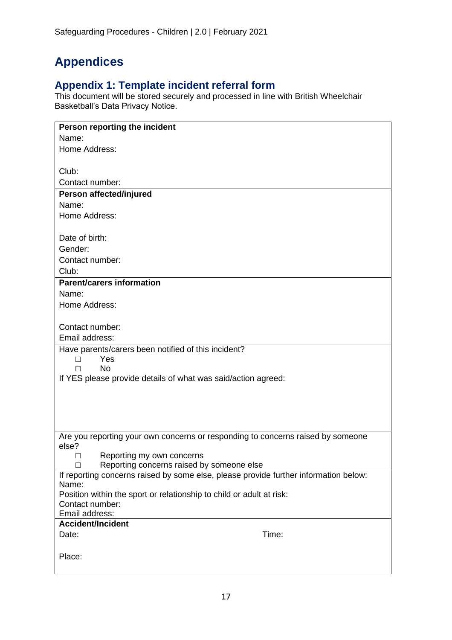# **Appendices**

### **Appendix 1: Template incident referral form**

This document will be stored securely and processed in line with British Wheelchair Basketball's Data Privacy Notice.

| Person reporting the incident                                                            |  |  |
|------------------------------------------------------------------------------------------|--|--|
| Name:                                                                                    |  |  |
| Home Address:                                                                            |  |  |
|                                                                                          |  |  |
| Club:                                                                                    |  |  |
| Contact number:                                                                          |  |  |
| Person affected/injured                                                                  |  |  |
| Name:                                                                                    |  |  |
| Home Address:                                                                            |  |  |
|                                                                                          |  |  |
| Date of birth:                                                                           |  |  |
| Gender:                                                                                  |  |  |
| Contact number:                                                                          |  |  |
| Club:                                                                                    |  |  |
| <b>Parent/carers information</b>                                                         |  |  |
| Name:                                                                                    |  |  |
| Home Address:                                                                            |  |  |
| Contact number:                                                                          |  |  |
| Email address:                                                                           |  |  |
|                                                                                          |  |  |
| Have parents/carers been notified of this incident?<br>Yes<br>П                          |  |  |
| <b>No</b><br>п                                                                           |  |  |
| If YES please provide details of what was said/action agreed:                            |  |  |
|                                                                                          |  |  |
|                                                                                          |  |  |
|                                                                                          |  |  |
|                                                                                          |  |  |
|                                                                                          |  |  |
| Are you reporting your own concerns or responding to concerns raised by someone<br>else? |  |  |
| Reporting my own concerns<br>□                                                           |  |  |
| Reporting concerns raised by someone else<br>$\perp$                                     |  |  |
| If reporting concerns raised by some else, please provide further information below:     |  |  |
| Name:                                                                                    |  |  |
| Position within the sport or relationship to child or adult at risk:                     |  |  |
| Contact number:                                                                          |  |  |
| Email address:                                                                           |  |  |
| <b>Accident/Incident</b>                                                                 |  |  |
| Time:<br>Date:                                                                           |  |  |
|                                                                                          |  |  |
| Place:                                                                                   |  |  |
|                                                                                          |  |  |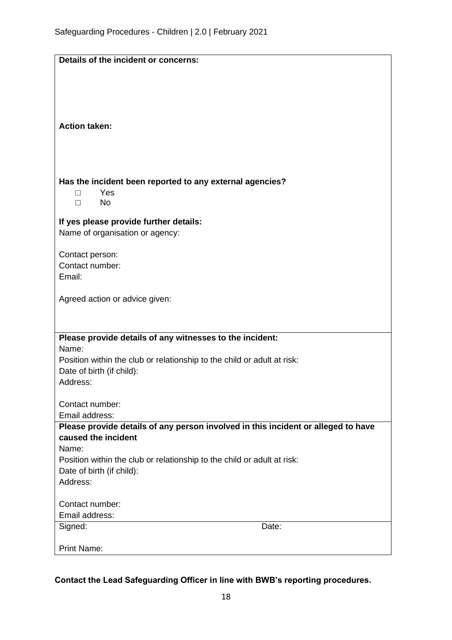| Details of the incident or concerns:                                                                 |       |  |
|------------------------------------------------------------------------------------------------------|-------|--|
|                                                                                                      |       |  |
|                                                                                                      |       |  |
|                                                                                                      |       |  |
|                                                                                                      |       |  |
| <b>Action taken:</b>                                                                                 |       |  |
|                                                                                                      |       |  |
|                                                                                                      |       |  |
|                                                                                                      |       |  |
|                                                                                                      |       |  |
| Has the incident been reported to any external agencies?                                             |       |  |
| Yes<br>П<br><b>No</b><br>$\Box$                                                                      |       |  |
|                                                                                                      |       |  |
| If yes please provide further details:                                                               |       |  |
| Name of organisation or agency:                                                                      |       |  |
|                                                                                                      |       |  |
| Contact person:                                                                                      |       |  |
| Contact number:                                                                                      |       |  |
| Email:                                                                                               |       |  |
| Agreed action or advice given:                                                                       |       |  |
|                                                                                                      |       |  |
|                                                                                                      |       |  |
|                                                                                                      |       |  |
| Please provide details of any witnesses to the incident:<br>Name:                                    |       |  |
|                                                                                                      |       |  |
| Position within the club or relationship to the child or adult at risk:<br>Date of birth (if child): |       |  |
| Address:                                                                                             |       |  |
|                                                                                                      |       |  |
| Contact number:                                                                                      |       |  |
| Email address:                                                                                       |       |  |
| Please provide details of any person involved in this incident or alleged to have                    |       |  |
| caused the incident                                                                                  |       |  |
| Name:                                                                                                |       |  |
| Position within the club or relationship to the child or adult at risk:                              |       |  |
| Date of birth (if child):                                                                            |       |  |
| Address:                                                                                             |       |  |
| Contact number:                                                                                      |       |  |
| Email address:                                                                                       |       |  |
| Signed:                                                                                              | Date: |  |
|                                                                                                      |       |  |
| <b>Print Name:</b>                                                                                   |       |  |

**Contact the Lead Safeguarding Officer in line with BWB's reporting procedures.**